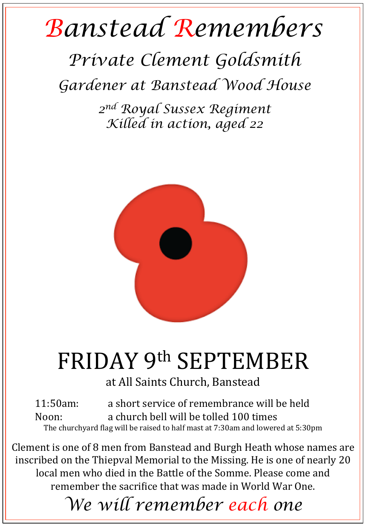## *Banstead Remembers*

## *Private Clement Goldsmith*

*Gardener at Banstead Wood House* 

*2nd Royal Sussex Regiment Killed in action, aged 22* 



## FRIDAY 9th SEPTEMBER

at All Saints Church, Banstead

11:50am: a short service of remembrance will be held Noon: a church bell will be tolled 100 times The churchyard flag will be raised to half mast at 7:30am and lowered at 5:30pm

Clement is one of 8 men from Banstead and Burgh Heath whose names are inscribed on the Thiepval Memorial to the Missing. He is one of nearly 20 local men who died in the Battle of the Somme. Please come and remember the sacrifice that was made in World War One.

*We will remember each one*